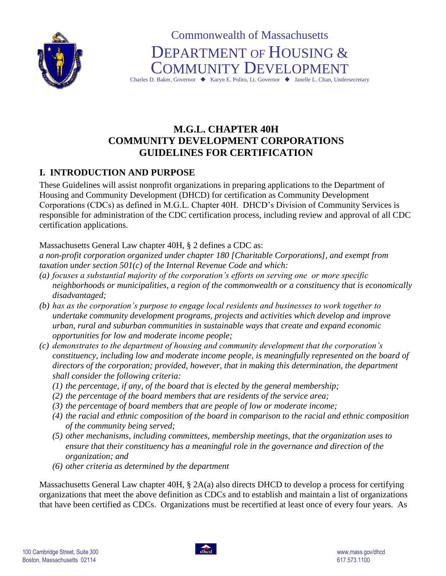

Commonwealth of Massachusetts DEPARTMENT OF HOUSING & COMMUNITY DEVELOPMENT

Charles D. Baker, Governor ♦ Karyn E. Polito, Lt. Governor ♦ Janelle L. Chan, Undersecretary

# **M.G.L. CHAPTER 40H COMMUNITY DEVELOPMENT CORPORATIONS GUIDELINES FOR CERTIFICATION**

# **I. INTRODUCTION AND PURPOSE**

These Guidelines will assist nonprofit organizations in preparing applications to the Department of Housing and Community Development (DHCD) for certification as Community Development Corporations (CDCs) as defined in M.G.L. Chapter 40H. DHCD's Division of Community Services is responsible for administration of the CDC certification process, including review and approval of all CDC certification applications.

Massachusetts General Law chapter 40H, § 2 defines a CDC as:

*a non-profit corporation organized under chapter 180 [Charitable Corporations], and exempt from taxation under section 501(c) of the Internal Revenue Code and which:*

- *(a) focuses a substantial majority of the corporation's efforts on serving one or more specific neighborhoods or municipalities, a region of the commonwealth or a constituency that is economically disadvantaged;*
- *(b) has as the corporation's purpose to engage local residents and businesses to work together to undertake community development programs, projects and activities which develop and improve urban, rural and suburban communities in sustainable ways that create and expand economic opportunities for low and moderate income people;*
- *(c) demonstrates to the department of housing and community development that the corporation's constituency, including low and moderate income people, is meaningfully represented on the board of directors of the corporation; provided, however, that in making this determination, the department shall consider the following criteria:* 
	- *(1) the percentage, if any, of the board that is elected by the general membership;*
	- *(2) the percentage of the board members that are residents of the service area;*
	- *(3) the percentage of board members that are people of low or moderate income;*
	- *(4) the racial and ethnic composition of the board in comparison to the racial and ethnic composition of the community being served;*
	- *(5) other mechanisms, including committees, membership meetings, that the organization uses to ensure that their constituency has a meaningful role in the governance and direction of the organization; and*
	- *(6) other criteria as determined by the department*

Massachusetts General Law chapter 40H, § 2A(a) also directs DHCD to develop a process for certifying organizations that meet the above definition as CDCs and to establish and maintain a list of organizations that have been certified as CDCs. Organizations must be recertified at least once of every four years. As

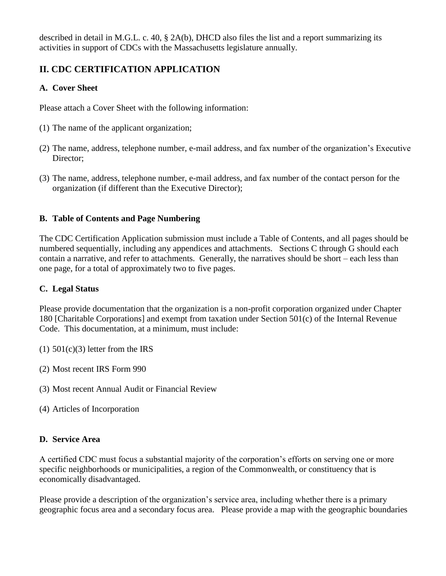described in detail in M.G.L. c. 40, § 2A(b), DHCD also files the list and a report summarizing its activities in support of CDCs with the Massachusetts legislature annually.

# **II. CDC CERTIFICATION APPLICATION**

# **A. Cover Sheet**

Please attach a Cover Sheet with the following information:

- (1) The name of the applicant organization;
- (2) The name, address, telephone number, e-mail address, and fax number of the organization's Executive Director;
- (3) The name, address, telephone number, e-mail address, and fax number of the contact person for the organization (if different than the Executive Director);

## **B. Table of Contents and Page Numbering**

The CDC Certification Application submission must include a Table of Contents, and all pages should be numbered sequentially, including any appendices and attachments. Sections C through G should each contain a narrative, and refer to attachments. Generally, the narratives should be short – each less than one page, for a total of approximately two to five pages.

#### **C. Legal Status**

Please provide documentation that the organization is a non-profit corporation organized under Chapter 180 [Charitable Corporations] and exempt from taxation under Section 501(c) of the Internal Revenue Code. This documentation, at a minimum, must include:

- $(1)$  501 $(c)(3)$  letter from the IRS
- (2) Most recent IRS Form 990
- (3) Most recent Annual Audit or Financial Review
- (4) Articles of Incorporation

#### **D. Service Area**

A certified CDC must focus a substantial majority of the corporation's efforts on serving one or more specific neighborhoods or municipalities, a region of the Commonwealth, or constituency that is economically disadvantaged.

Please provide a description of the organization's service area, including whether there is a primary geographic focus area and a secondary focus area. Please provide a map with the geographic boundaries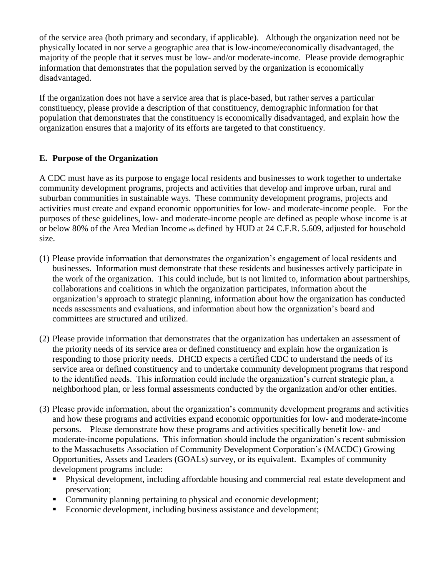of the service area (both primary and secondary, if applicable). Although the organization need not be physically located in nor serve a geographic area that is low-income/economically disadvantaged, the majority of the people that it serves must be low- and/or moderate-income. Please provide demographic information that demonstrates that the population served by the organization is economically disadvantaged.

If the organization does not have a service area that is place-based, but rather serves a particular constituency, please provide a description of that constituency, demographic information for that population that demonstrates that the constituency is economically disadvantaged, and explain how the organization ensures that a majority of its efforts are targeted to that constituency.

## **E. Purpose of the Organization**

A CDC must have as its purpose to engage local residents and businesses to work together to undertake community development programs, projects and activities that develop and improve urban, rural and suburban communities in sustainable ways. These community development programs, projects and activities must create and expand economic opportunities for low- and moderate-income people. For the purposes of these guidelines, low- and moderate-income people are defined as people whose income is at or below 80% of the Area Median Income as defined by HUD at 24 C.F.R. 5.609, adjusted for household size.

- (1) Please provide information that demonstrates the organization's engagement of local residents and businesses. Information must demonstrate that these residents and businesses actively participate in the work of the organization. This could include, but is not limited to, information about partnerships, collaborations and coalitions in which the organization participates, information about the organization's approach to strategic planning, information about how the organization has conducted needs assessments and evaluations, and information about how the organization's board and committees are structured and utilized.
- (2) Please provide information that demonstrates that the organization has undertaken an assessment of the priority needs of its service area or defined constituency and explain how the organization is responding to those priority needs. DHCD expects a certified CDC to understand the needs of its service area or defined constituency and to undertake community development programs that respond to the identified needs. This information could include the organization's current strategic plan, a neighborhood plan, or less formal assessments conducted by the organization and/or other entities.
- (3) Please provide information, about the organization's community development programs and activities and how these programs and activities expand economic opportunities for low- and moderate-income persons. Please demonstrate how these programs and activities specifically benefit low- and moderate-income populations. This information should include the organization's recent submission to the Massachusetts Association of Community Development Corporation's (MACDC) Growing Opportunities, Assets and Leaders (GOALs) survey, or its equivalent. Examples of community development programs include:
	- Physical development, including affordable housing and commercial real estate development and preservation;
	- Community planning pertaining to physical and economic development;
	- Economic development, including business assistance and development;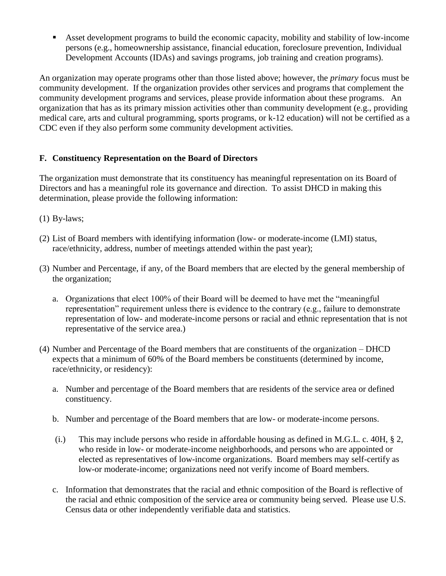Asset development programs to build the economic capacity, mobility and stability of low-income persons (e.g., homeownership assistance, financial education, foreclosure prevention, Individual Development Accounts (IDAs) and savings programs, job training and creation programs).

An organization may operate programs other than those listed above; however, the *primary* focus must be community development. If the organization provides other services and programs that complement the community development programs and services, please provide information about these programs. An organization that has as its primary mission activities other than community development (e.g., providing medical care, arts and cultural programming, sports programs, or k-12 education) will not be certified as a CDC even if they also perform some community development activities.

## **F. Constituency Representation on the Board of Directors**

The organization must demonstrate that its constituency has meaningful representation on its Board of Directors and has a meaningful role its governance and direction. To assist DHCD in making this determination, please provide the following information:

- $(1)$  By-laws;
- (2) List of Board members with identifying information (low- or moderate-income (LMI) status, race/ethnicity, address, number of meetings attended within the past year);
- (3) Number and Percentage, if any, of the Board members that are elected by the general membership of the organization;
	- a. Organizations that elect 100% of their Board will be deemed to have met the "meaningful representation" requirement unless there is evidence to the contrary (e.g., failure to demonstrate representation of low- and moderate-income persons or racial and ethnic representation that is not representative of the service area.)
- (4) Number and Percentage of the Board members that are constituents of the organization DHCD expects that a minimum of 60% of the Board members be constituents (determined by income, race/ethnicity, or residency):
	- a. Number and percentage of the Board members that are residents of the service area or defined constituency.
	- b. Number and percentage of the Board members that are low- or moderate-income persons.
	- (i.) This may include persons who reside in affordable housing as defined in M.G.L. c. 40H, § 2, who reside in low- or moderate-income neighborhoods, and persons who are appointed or elected as representatives of low-income organizations. Board members may self-certify as low-or moderate-income; organizations need not verify income of Board members.
	- c. Information that demonstrates that the racial and ethnic composition of the Board is reflective of the racial and ethnic composition of the service area or community being served. Please use U.S. Census data or other independently verifiable data and statistics.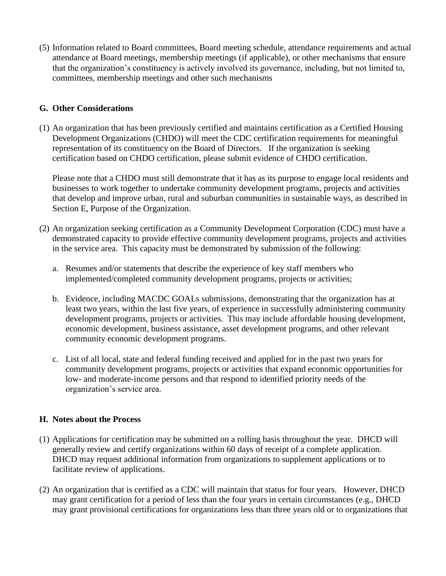(5) Information related to Board committees, Board meeting schedule, attendance requirements and actual attendance at Board meetings, membership meetings (if applicable), or other mechanisms that ensure that the organization's constituency is actively involved its governance, including, but not limited to, committees, membership meetings and other such mechanisms

#### **G. Other Considerations**

(1) An organization that has been previously certified and maintains certification as a Certified Housing Development Organizations (CHDO) will meet the CDC certification requirements for meaningful representation of its constituency on the Board of Directors. If the organization is seeking certification based on CHDO certification, please submit evidence of CHDO certification.

Please note that a CHDO must still demonstrate that it has as its purpose to engage local residents and businesses to work together to undertake community development programs, projects and activities that develop and improve urban, rural and suburban communities in sustainable ways, as described in Section E, Purpose of the Organization.

- (2) An organization seeking certification as a Community Development Corporation (CDC) must have a demonstrated capacity to provide effective community development programs, projects and activities in the service area. This capacity must be demonstrated by submission of the following:
	- a. Resumes and/or statements that describe the experience of key staff members who implemented/completed community development programs, projects or activities;
	- b. Evidence, including MACDC GOALs submissions, demonstrating that the organization has at least two years, within the last five years, of experience in successfully administering community development programs, projects or activities. This may include affordable housing development, economic development, business assistance, asset development programs, and other relevant community economic development programs.
	- c. List of all local, state and federal funding received and applied for in the past two years for community development programs, projects or activities that expand economic opportunities for low- and moderate-income persons and that respond to identified priority needs of the organization's service area.

#### **H. Notes about the Process**

- (1) Applications for certification may be submitted on a rolling basis throughout the year. DHCD will generally review and certify organizations within 60 days of receipt of a complete application. DHCD may request additional information from organizations to supplement applications or to facilitate review of applications.
- (2) An organization that is certified as a CDC will maintain that status for four years. However, DHCD may grant certification for a period of less than the four years in certain circumstances (e.g., DHCD may grant provisional certifications for organizations less than three years old or to organizations that